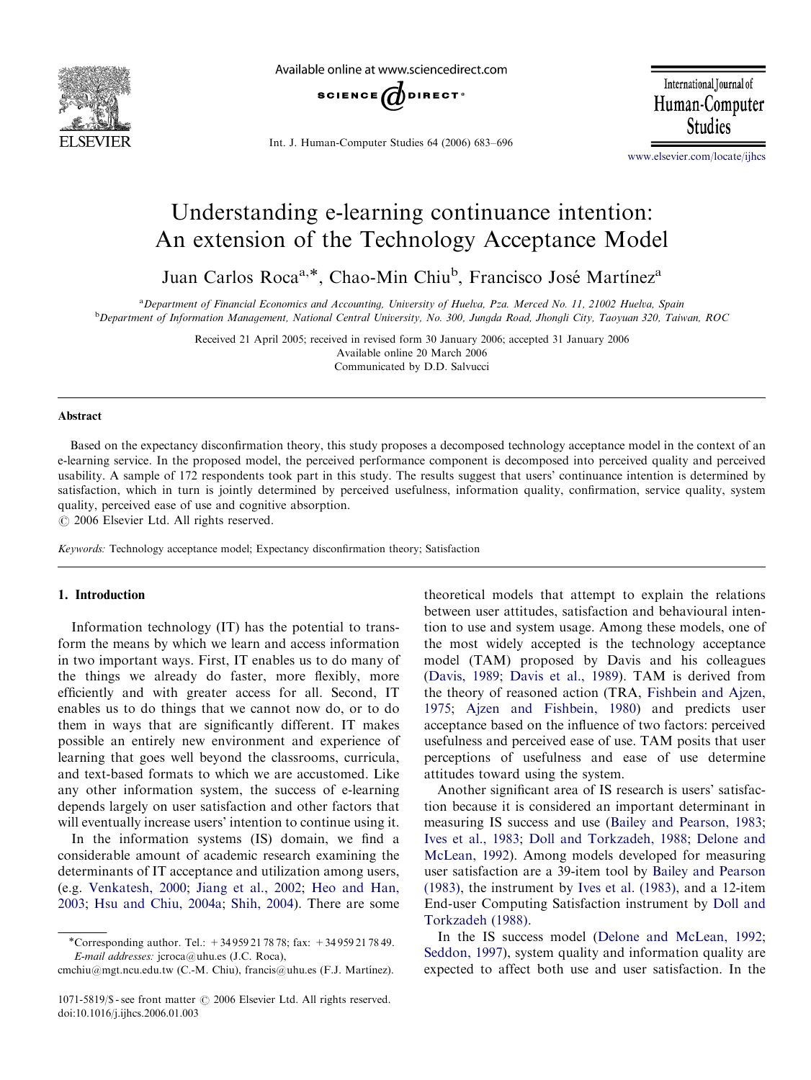

Available online at www.sciencedirect.com



Int. J. Human-Computer Studies 64 (2006) 683–696

International Journal of Human-Computer **Studies** 

[www.elsevier.com/locate/ijhcs](www.elsevier.com/locater/ijhcs)

## Understanding e-learning continuance intention: An extension of the Technology Acceptance Model

Juan Carlos Roca<sup>a,\*</sup>, Chao-Min Chiu<sup>b</sup>, Francisco José Martínez<sup>a</sup>

<sup>a</sup> Department of Financial Economics and Accounting, University of Huelva, Pza. Merced No. 11, 21002 Huelva, Spain b Department of Information Management, National Central University, No. 300, Jungda Road, Jhongli City, Taoyuan 320, Taiwan, ROC

> Received 21 April 2005; received in revised form 30 January 2006; accepted 31 January 2006 Available online 20 March 2006 Communicated by D.D. Salvucci

#### Abstract

Based on the expectancy disconfirmation theory, this study proposes a decomposed technology acceptance model in the context of an e-learning service. In the proposed model, the perceived performance component is decomposed into perceived quality and perceived usability. A sample of 172 respondents took part in this study. The results suggest that users' continuance intention is determined by satisfaction, which in turn is jointly determined by perceived usefulness, information quality, confirmation, service quality, system quality, perceived ease of use and cognitive absorption.

 $\odot$  2006 Elsevier Ltd. All rights reserved.

Keywords: Technology acceptance model; Expectancy disconfirmation theory; Satisfaction

### 1. Introduction

Information technology (IT) has the potential to transform the means by which we learn and access information in two important ways. First, IT enables us to do many of the things we already do faster, more flexibly, more efficiently and with greater access for all. Second, IT enables us to do things that we cannot now do, or to do them in ways that are significantly different. IT makes possible an entirely new environment and experience of learning that goes well beyond the classrooms, curricula, and text-based formats to which we are accustomed. Like any other information system, the success of e-learning depends largely on user satisfaction and other factors that will eventually increase users' intention to continue using it.

In the information systems (IS) domain, we find a considerable amount of academic research examining the determinants of IT acceptance and utilization among users, (e.g. [Venkatesh, 2000](#page--1-0); [Jiang et al., 2002;](#page--1-0) [Heo and Han,](#page--1-0) [2003](#page--1-0); [Hsu and Chiu, 2004a](#page--1-0); [Shih, 2004\)](#page--1-0). There are some theoretical models that attempt to explain the relations between user attitudes, satisfaction and behavioural intention to use and system usage. Among these models, one of the most widely accepted is the technology acceptance model (TAM) proposed by Davis and his colleagues ([Davis, 1989](#page--1-0); [Davis et al., 1989](#page--1-0)). TAM is derived from the theory of reasoned action (TRA, [Fishbein and Ajzen,](#page--1-0) [1975](#page--1-0); [Ajzen and Fishbein, 1980](#page--1-0)) and predicts user acceptance based on the influence of two factors: perceived usefulness and perceived ease of use. TAM posits that user perceptions of usefulness and ease of use determine attitudes toward using the system.

Another significant area of IS research is users' satisfaction because it is considered an important determinant in measuring IS success and use [\(Bailey and Pearson, 1983;](#page--1-0) [Ives et al., 1983;](#page--1-0) [Doll and Torkzadeh, 1988;](#page--1-0) [Delone and](#page--1-0) [McLean, 1992](#page--1-0)). Among models developed for measuring user satisfaction are a 39-item tool by [Bailey and Pearson](#page--1-0) [\(1983\)](#page--1-0), the instrument by [Ives et al. \(1983\),](#page--1-0) and a 12-item End-user Computing Satisfaction instrument by [Doll and](#page--1-0) [Torkzadeh \(1988\).](#page--1-0)

In the IS success model [\(Delone and McLean, 1992;](#page--1-0) [Seddon, 1997](#page--1-0)), system quality and information quality are expected to affect both use and user satisfaction. In the

Corresponding author. Tel.: +34 959 21 78 78; fax: +34 959 21 78 49. E-mail addresses: jcroca@uhu.es (J.C. Roca),

cmchiu@mgt.ncu.edu.tw (C.-M. Chiu), francis@uhu.es (F.J. Martínez).

<sup>1071-5819/\$ -</sup> see front matter  $\odot$  2006 Elsevier Ltd. All rights reserved. doi:10.1016/j.ijhcs.2006.01.003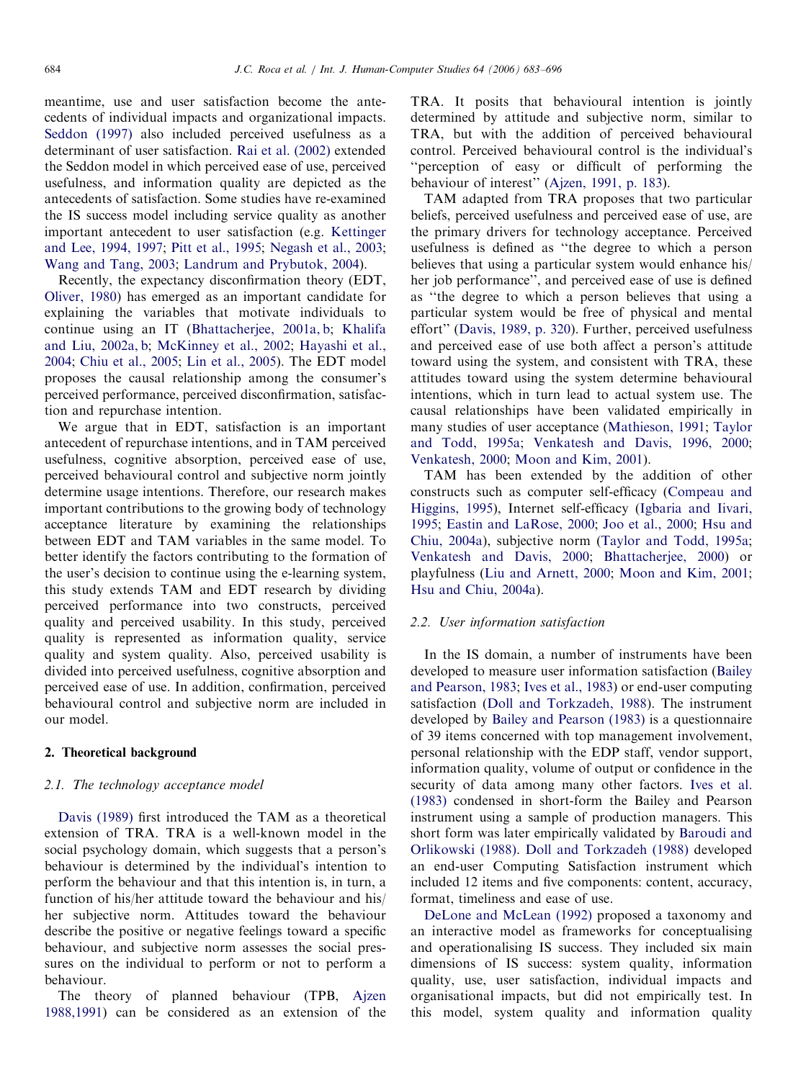meantime, use and user satisfaction become the antecedents of individual impacts and organizational impacts. [Seddon \(1997\)](#page--1-0) also included perceived usefulness as a determinant of user satisfaction. [Rai et al. \(2002\)](#page--1-0) extended the Seddon model in which perceived ease of use, perceived usefulness, and information quality are depicted as the antecedents of satisfaction. Some studies have re-examined the IS success model including service quality as another important antecedent to user satisfaction (e.g. [Kettinger](#page--1-0) [and Lee, 1994, 1997;](#page--1-0) [Pitt et al., 1995](#page--1-0); [Negash et al., 2003](#page--1-0); [Wang and Tang, 2003;](#page--1-0) [Landrum and Prybutok, 2004](#page--1-0)).

Recently, the expectancy disconfirmation theory (EDT, [Oliver, 1980\)](#page--1-0) has emerged as an important candidate for explaining the variables that motivate individuals to continue using an IT ([Bhattacherjee, 2001a, b;](#page--1-0) [Khalifa](#page--1-0) [and Liu, 2002a, b;](#page--1-0) [McKinney et al., 2002](#page--1-0); [Hayashi et al.,](#page--1-0) [2004;](#page--1-0) [Chiu et al., 2005;](#page--1-0) [Lin et al., 2005](#page--1-0)). The EDT model proposes the causal relationship among the consumer's perceived performance, perceived disconfirmation, satisfaction and repurchase intention.

We argue that in EDT, satisfaction is an important antecedent of repurchase intentions, and in TAM perceived usefulness, cognitive absorption, perceived ease of use, perceived behavioural control and subjective norm jointly determine usage intentions. Therefore, our research makes important contributions to the growing body of technology acceptance literature by examining the relationships between EDT and TAM variables in the same model. To better identify the factors contributing to the formation of the user's decision to continue using the e-learning system, this study extends TAM and EDT research by dividing perceived performance into two constructs, perceived quality and perceived usability. In this study, perceived quality is represented as information quality, service quality and system quality. Also, perceived usability is divided into perceived usefulness, cognitive absorption and perceived ease of use. In addition, confirmation, perceived behavioural control and subjective norm are included in our model.

## 2. Theoretical background

## 2.1. The technology acceptance model

[Davis \(1989\)](#page--1-0) first introduced the TAM as a theoretical extension of TRA. TRA is a well-known model in the social psychology domain, which suggests that a person's behaviour is determined by the individual's intention to perform the behaviour and that this intention is, in turn, a function of his/her attitude toward the behaviour and his/ her subjective norm. Attitudes toward the behaviour describe the positive or negative feelings toward a specific behaviour, and subjective norm assesses the social pressures on the individual to perform or not to perform a behaviour.

The theory of planned behaviour (TPB, [Ajzen](#page--1-0) [1988,1991](#page--1-0)) can be considered as an extension of the TRA. It posits that behavioural intention is jointly determined by attitude and subjective norm, similar to TRA, but with the addition of perceived behavioural control. Perceived behavioural control is the individual's ''perception of easy or difficult of performing the behaviour of interest'' [\(Ajzen, 1991, p. 183\)](#page--1-0).

TAM adapted from TRA proposes that two particular beliefs, perceived usefulness and perceived ease of use, are the primary drivers for technology acceptance. Perceived usefulness is defined as ''the degree to which a person believes that using a particular system would enhance his/ her job performance'', and perceived ease of use is defined as ''the degree to which a person believes that using a particular system would be free of physical and mental effort'' [\(Davis, 1989, p. 320](#page--1-0)). Further, perceived usefulness and perceived ease of use both affect a person's attitude toward using the system, and consistent with TRA, these attitudes toward using the system determine behavioural intentions, which in turn lead to actual system use. The causal relationships have been validated empirically in many studies of user acceptance ([Mathieson, 1991](#page--1-0); [Taylor](#page--1-0) [and Todd, 1995a](#page--1-0); [Venkatesh and Davis, 1996, 2000](#page--1-0); [Venkatesh, 2000](#page--1-0); [Moon and Kim, 2001](#page--1-0)).

TAM has been extended by the addition of other constructs such as computer self-efficacy ([Compeau and](#page--1-0) [Higgins, 1995](#page--1-0)), Internet self-efficacy [\(Igbaria and Iivari,](#page--1-0) [1995;](#page--1-0) [Eastin and LaRose, 2000;](#page--1-0) [Joo et al., 2000;](#page--1-0) [Hsu and](#page--1-0) [Chiu, 2004a\)](#page--1-0), subjective norm ([Taylor and Todd, 1995a](#page--1-0); [Venkatesh and Davis, 2000](#page--1-0); [Bhattacherjee, 2000](#page--1-0)) or playfulness ([Liu and Arnett, 2000;](#page--1-0) [Moon and Kim, 2001](#page--1-0); [Hsu and Chiu, 2004a\)](#page--1-0).

#### 2.2. User information satisfaction

In the IS domain, a number of instruments have been developed to measure user information satisfaction [\(Bailey](#page--1-0) [and Pearson, 1983;](#page--1-0) [Ives et al., 1983](#page--1-0)) or end-user computing satisfaction ([Doll and Torkzadeh, 1988](#page--1-0)). The instrument developed by [Bailey and Pearson \(1983\)](#page--1-0) is a questionnaire of 39 items concerned with top management involvement, personal relationship with the EDP staff, vendor support, information quality, volume of output or confidence in the security of data among many other factors. [Ives et al.](#page--1-0) [\(1983\)](#page--1-0) condensed in short-form the Bailey and Pearson instrument using a sample of production managers. This short form was later empirically validated by [Baroudi and](#page--1-0) [Orlikowski \(1988\)](#page--1-0). [Doll and Torkzadeh \(1988\)](#page--1-0) developed an end-user Computing Satisfaction instrument which included 12 items and five components: content, accuracy, format, timeliness and ease of use.

[DeLone and McLean \(1992\)](#page--1-0) proposed a taxonomy and an interactive model as frameworks for conceptualising and operationalising IS success. They included six main dimensions of IS success: system quality, information quality, use, user satisfaction, individual impacts and organisational impacts, but did not empirically test. In this model, system quality and information quality